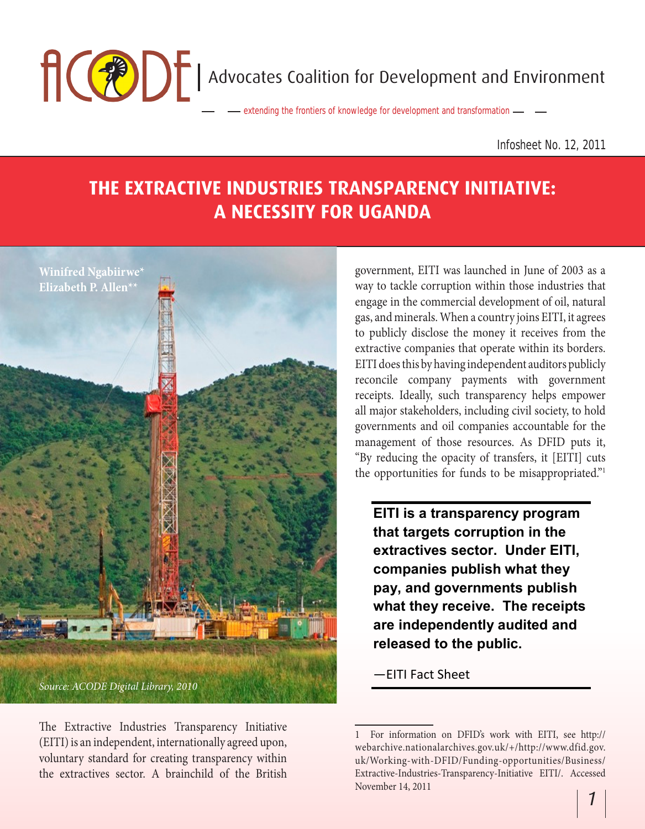**Advocates Coalition for Development and Environment** 

extending the frontiers of knowledge for development and transformation

Infosheet No. 12, 2011

## **THE EXTRACTIVE INDUSTRIES TRANSPARENCY INITIATIVE: A NECESSITY FOR UGANDA**



The Extractive Industries Transparency Initiative (EITI) is an independent, internationally agreed upon, voluntary standard for creating transparency within the extractives sector. A brainchild of the British government, EITI was launched in June of 2003 as a way to tackle corruption within those industries that engage in the commercial development of oil, natural gas, and minerals. When a country joins EITI, it agrees to publicly disclose the money it receives from the extractive companies that operate within its borders. EITI does this by having independent auditors publicly reconcile company payments with government receipts. Ideally, such transparency helps empower all major stakeholders, including civil society, to hold governments and oil companies accountable for the management of those resources. As DFID puts it, "By reducing the opacity of transfers, it [EITI] cuts the opportunities for funds to be misappropriated."1

**EITI is a transparency program that targets corruption in the extractives sector. Under EITI, companies publish what they pay, and governments publish what they receive. The receipts are independently audited and released to the public.** 

—EITI Fact Sheet

<sup>1</sup> For information on DFID's work with EITI, see http:// webarchive.nationalarchives.gov.uk/+/http://www.dfid.gov. uk/Working-with-DFID/Funding-opportunities/Business/ Extractive-Industries-Transparency-Initiative EITI/. Accessed November 14, 2011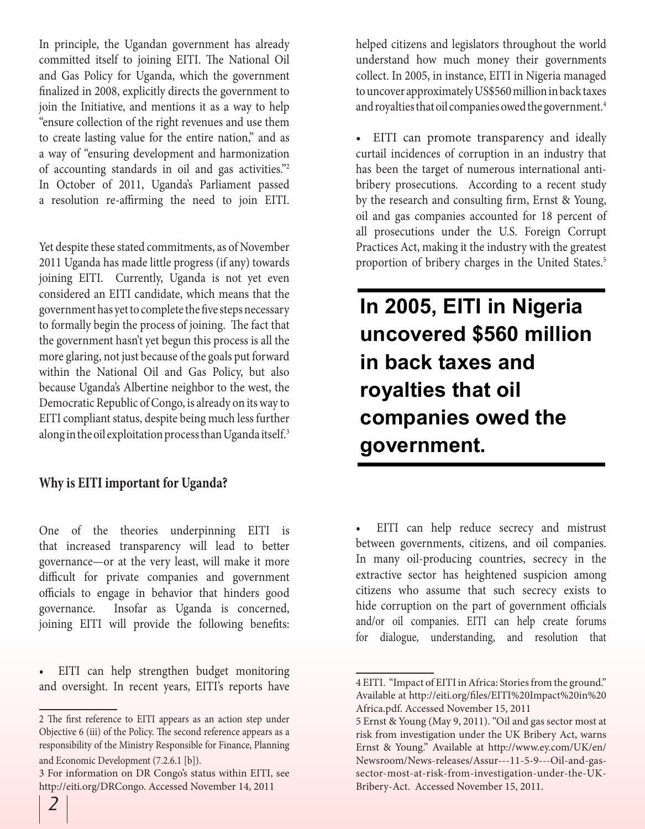In principle, the Ugandan government has already committed itself to joining EITI. The National Oil and Gas Policy for Uganda, which the government finalized in 2008, explicitly directs the government to join the Initiative, and mentions it as a way to help "ensure collection of the right revenues and use them to create lasting value for the entire nation," and as a way of "ensuring development and harmonization of accounting standards in oil and gas activities."2 In October of 2011, Uganda's Parliament passed a resolution re-affirming the need to join EITI.

Yet despite these stated commitments, as of November 2011 Uganda has made little progress (if any) towards joining EITI. Currently, Uganda is not yet even considered an EITI candidate, which means that the government has yet to complete the five steps necessary to formally begin the process of joining. The fact that the government hasn't yet begun this process is all the more glaring, not just because of the goals put forward within the National Oil and Gas Policy, but also because Uganda's Albertine neighbor to the west, the Democratic Republic of Congo, is already on its way to EITI compliant status, despite being much less further along in the oil exploitation process than Uganda itself.<sup>3</sup>

## **Why is EITI important for Uganda?**

One of the theories underpinning EITI is that increased transparency will lead to better governance—or at the very least, will make it more difficult for private companies and government officials to engage in behavior that hinders good governance. Insofar as Uganda is concerned, joining EITI will provide the following benefits:

• EITI can help strengthen budget monitoring and oversight. In recent years, EITI's reports have

helped citizens and legislators throughout the world understand how much money their governments collect. In 2005, in instance, EITI in Nigeria managed to uncover approximately US\$560 million in back taxes and royalties that oil companies owed the government.<sup>4</sup>

• EITI can promote transparency and ideally curtail incidences of corruption in an industry that has been the target of numerous international antibribery prosecutions. According to a recent study by the research and consulting firm, Ernst & Young, oil and gas companies accounted for 18 percent of all prosecutions under the U.S. Foreign Corrupt Practices Act, making it the industry with the greatest proportion of bribery charges in the United States.<sup>5</sup>

**In 2005, EITI in Nigeria uncovered \$560 million in back taxes and royalties that oil companies owed the government.**

EITI can help reduce secrecy and mistrust between governments, citizens, and oil companies. In many oil-producing countries, secrecy in the extractive sector has heightened suspicion among citizens who assume that such secrecy exists to hide corruption on the part of government officials and/or oil companies. EITI can help create forums for dialogue, understanding, and resolution that

<sup>2</sup> The first reference to EITI appears as an action step under Objective 6 (iii) of the Policy. The second reference appears as a responsibility of the Ministry Responsible for Finance, Planning and Economic Development (7.2.6.1 [b]).

<sup>3</sup> For information on DR Congo's status within EITI, see http://eiti.org/DRCongo. Accessed November 14, 2011

<sup>4</sup> EITI. "Impact of EITI in Africa: Stories from the ground." Available at http://eiti.org/files/EITI%20Impact%20in%20 Africa.pdf. Accessed November 15, 2011

<sup>5</sup> Ernst & Young (May 9, 2011). "Oil and gas sector most at risk from investigation under the UK Bribery Act, warns Ernst & Young." Available at http://www.ey.com/UK/en/ Newsroom/News-releases/Assur---11-5-9---Oil-and-gassector-most-at-risk-from-investigation-under-the-UK-Bribery-Act. Accessed November 15, 2011.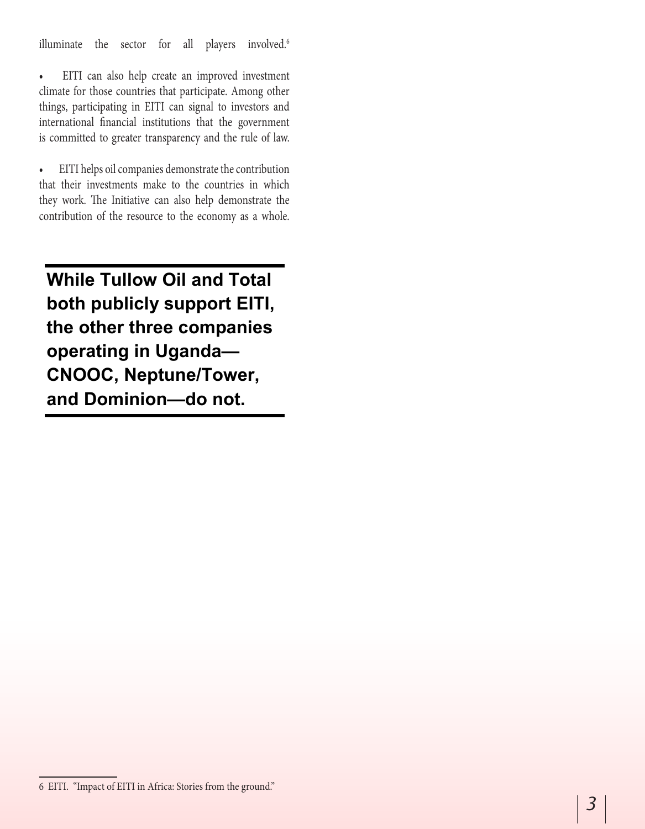illuminate the sector for all players involved.<sup>6</sup>

• EITI can also help create an improved investment climate for those countries that participate. Among other things, participating in EITI can signal to investors and international financial institutions that the government is committed to greater transparency and the rule of law.

• EITI helps oil companies demonstrate the contribution that their investments make to the countries in which they work. The Initiative can also help demonstrate the contribution of the resource to the economy as a whole.

**While Tullow Oil and Total both publicly support EITI, the other three companies operating in Uganda— CNOOC, Neptune/Tower, and Dominion—do not.** 

<sup>6</sup> EITI. "Impact of EITI in Africa: Stories from the ground."